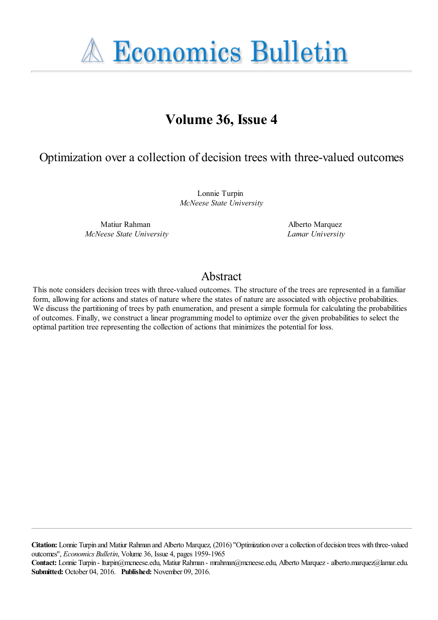**A Economics Bulletin** 

# **Volume 36, Issue 4**

### Optimization over a collection of decision trees with three-valued outcomes

Lonnie Turpin *McNeese State University*

Matiur Rahman *McNeese State University* Alberto Marquez *Lamar University*

## Abstract

This note considers decision trees with three-valued outcomes. The structure of the trees are represented in a familiar form, allowing for actions and states of nature where the states of nature are associated with objective probabilities. We discuss the partitioning of trees by path enumeration, and present a simple formula for calculating the probabilities of outcomes. Finally, we construct a linear programming model to optimize over the given probabilities to select the optimal partition tree representing the collection of actions that minimizes the potential for loss.

**Citation:** Lonnie Turpin and Matiur Rahman and Alberto Marquez, (2016) ''Optimization over a collection of decision trees with three-valued outcomes'', *Economics Bulletin*, Volume 36, Issue 4, pages 1959-1965

**Contact:** Lonnie Turpin - lturpin@mcneese.edu, Matiur Rahman - mrahman@mcneese.edu, Alberto Marquez - alberto.marquez@lamar.edu. **Submitted:** October 04, 2016. **Published:** November 09, 2016.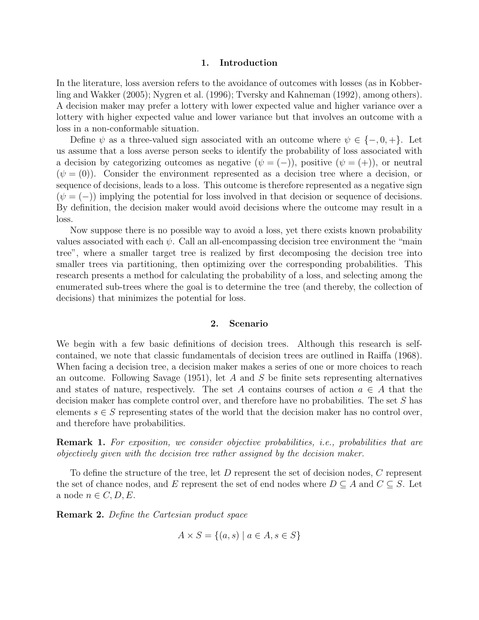#### 1. Introduction

<span id="page-1-2"></span>In the literature, loss aversion refers to the avoidance of outcomes with losses (as in [Kobber](#page-4-0)[ling and Wakker \(2005\)](#page-4-0); [Nygren et al. \(1996\)](#page-4-1); [Tversky and Kahneman \(1992\)](#page-4-2), among others). A decision maker may prefer a lottery with lower expected value and higher variance over a lottery with higher expected value and lower variance but that involves an outcome with a loss in a non-conformable situation.

Define  $\psi$  as a three-valued sign associated with an outcome where  $\psi \in \{-,0,+\}.$  Let us assume that a loss averse person seeks to identify the probability of loss associated with a decision by categorizing outcomes as negative  $(\psi = (-))$ , positive  $(\psi = (+))$ , or neutral  $(\psi = (0))$ . Consider the environment represented as a decision tree where a decision, or sequence of decisions, leads to a loss. This outcome is therefore represented as a negative sign  $(\psi = (-))$  implying the potential for loss involved in that decision or sequence of decisions. By definition, the decision maker would avoid decisions where the outcome may result in a loss.

Now suppose there is no possible way to avoid a loss, yet there exists known probability values associated with each  $\psi$ . Call an all-encompassing decision tree environment the "main tree", where a smaller target tree is realized by first decomposing the decision tree into smaller trees via partitioning, then optimizing over the corresponding probabilities. This research presents a method for calculating the probability of a loss, and selecting among the enumerated sub-trees where the goal is to determine the tree (and thereby, the collection of decisions) that minimizes the potential for loss.

#### 2. Scenario

We begin with a few basic definitions of decision trees. Although this research is selfcontained, we note that classic fundamentals of decision trees are outlined in [Raiffa \(1968\)](#page-4-3). When facing a decision tree, a decision maker makes a series of one or more choices to reach an outcome. Following [Savage \(1951\)](#page-4-4), let A and S be finite sets representing alternatives and states of nature, respectively. The set A contains courses of action  $a \in A$  that the decision maker has complete control over, and therefore have no probabilities. The set S has elements  $s \in S$  representing states of the world that the decision maker has no control over, and therefore have probabilities.

<span id="page-1-0"></span>Remark 1. *For exposition, we consider objective probabilities, i.e., probabilities that are objectively given with the decision tree rather assigned by the decision maker.*

To define the structure of the tree, let D represent the set of decision nodes, C represent the set of chance nodes, and E represent the set of end nodes where  $D \subseteq A$  and  $C \subseteq S$ . Let a node  $n \in C, D, E$ .

<span id="page-1-1"></span>Remark 2. *Define the Cartesian product space*

$$
A \times S = \{(a, s) \mid a \in A, s \in S\}
$$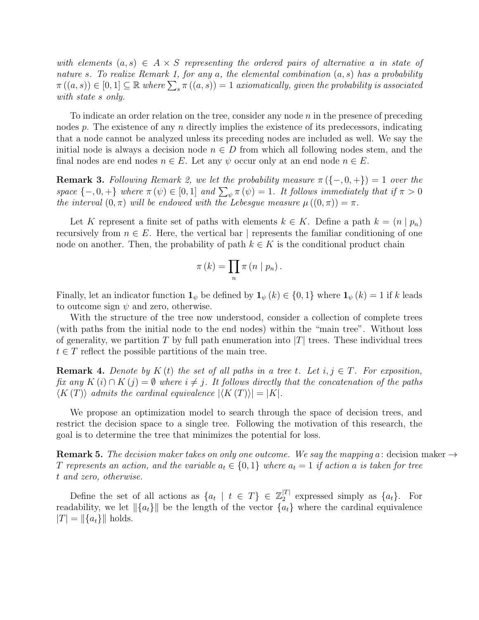*with elements*  $(a, s) \in A \times S$  *representing the ordered pairs of alternative* a *in state of nature* s*. To realize [Remark 1,](#page-1-0) for any* a*, the elemental combination* (a, s) *has a probability*  $\pi((a, s)) \in [0, 1] \subseteq \mathbb{R}$  where  $\sum_{s} \pi((a, s)) = 1$  axiomatically, given the probability is associated *with state* s *only.*

To indicate an order relation on the tree, consider any node  $n$  in the presence of preceding nodes p. The existence of any n directly implies the existence of its predecessors, indicating that a node cannot be analyzed unless its preceding nodes are included as well. We say the initial node is always a decision node  $n \in D$  from which all following nodes stem, and the final nodes are end nodes  $n \in E$ . Let any  $\psi$  occur only at an end node  $n \in E$ .

<span id="page-2-0"></span>**Remark 3.** *Following* [Remark 2,](#page-1-1) we let the probability measure  $\pi({-, 0, +}) = 1$  *over the space*  $\{-,0,+\}$  *where*  $\pi(\psi) \in [0,1]$  *and*  $\sum_{\psi} \pi(\psi) = 1$ *. It follows immediately that if*  $\pi > 0$ *the interval*  $(0, \pi)$  *will be endowed with the Lebesgue measure*  $\mu((0, \pi)) = \pi$ .

Let K represent a finite set of paths with elements  $k \in K$ . Define a path  $k = (n \mid p_n)$ recursively from  $n \in E$ . Here, the vertical bar | represents the familiar conditioning of one node on another. Then, the probability of path  $k \in K$  is the conditional product chain

$$
\pi(k) = \prod_{n} \pi(n \mid p_{n}).
$$

Finally, let an indicator function  $\mathbf{1}_{\psi}$  be defined by  $\mathbf{1}_{\psi}(k) \in \{0,1\}$  where  $\mathbf{1}_{\psi}(k) = 1$  if k leads to outcome sign  $\psi$  and zero, otherwise.

With the structure of the tree now understood, consider a collection of complete trees (with paths from the initial node to the end nodes) within the "main tree". Without loss of generality, we partition T by full path enumeration into  $|T|$  trees. These individual trees  $t \in T$  reflect the possible partitions of the main tree.

<span id="page-2-2"></span>**Remark 4.** Denote by  $K(t)$  the set of all paths in a tree t. Let  $i, j \in T$ . For exposition, *fix any*  $K(i) \cap K(j) = \emptyset$  *where*  $i \neq j$ . It follows directly that the concatenation of the paths  $\langle K(T) \rangle$  *admits the cardinal equivalence*  $|\langle K(T) \rangle| = |K|$ *.* 

We propose an optimization model to search through the space of decision trees, and restrict the decision space to a single tree. Following the motivation of this research, the goal is to determine the tree that minimizes the potential for loss.

<span id="page-2-1"></span>**Remark 5.** The decision maker takes on only one outcome. We say the mapping a: decision maker  $\rightarrow$ T represents an action, and the variable  $a_t \in \{0,1\}$  where  $a_t = 1$  if action a is taken for tree t *and zero, otherwise.*

Define the set of all actions as  $\{a_t \mid t \in T\} \in \mathbb{Z}_2^{|T|}$  $_2^{11}$  expressed simply as  $\{a_t\}$ . For readability, we let  $\|\{a_t\}\|$  be the length of the vector  $\{a_t\}$  where the cardinal equivalence  $|T| = ||a_t||$  holds.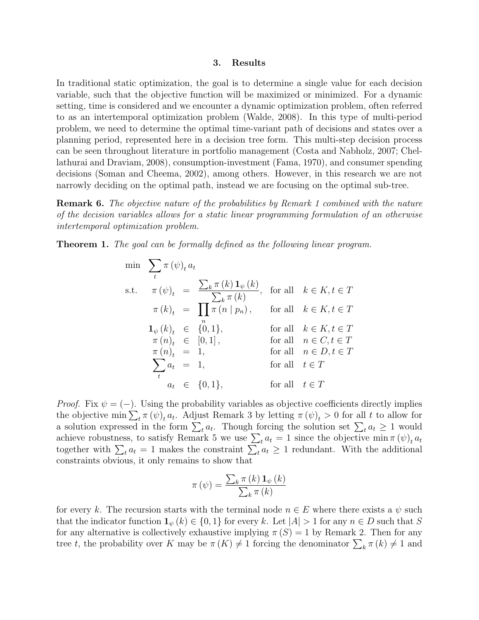#### 3. Results

In traditional static optimization, the goal is to determine a single value for each decision variable, such that the objective function will be maximized or minimized. For a dynamic setting, time is considered and we encounter a dynamic optimization problem, often referred to as an intertemporal optimization problem [\(Walde, 2008\)](#page-4-5). In this type of multi-period problem, we need to determine the optimal time-variant path of decisions and states over a planning period, represented here in a decision tree form. This multi-step decision process can be seen throughout literature in portfolio management [\(Costa and Nabholz, 2007;](#page-4-6) [Chel](#page-4-7)[lathurai and Draviam, 2008\)](#page-4-7), consumption-investment [\(Fama, 1970\)](#page-4-8), and consumer spending decisions [\(Soman and Cheema, 2002\)](#page-4-9), among others. However, in this research we are not narrowly deciding on the optimal path, instead we are focusing on the optimal sub-tree.

Remark 6. *The objective nature of the probabilities by [Remark 1](#page-1-2) combined with the nature of the decision variables allows for a static linear programming formulation of an otherwise intertemporal optimization problem.*

<span id="page-3-0"></span>Theorem 1. *The goal can be formally defined as the following linear program.*

$$
\min \sum_{t} \pi(\psi)_{t} a_{t}
$$
\n
$$
\text{s.t.} \quad \pi(\psi)_{t} = \frac{\sum_{k} \pi(k) \mathbf{1}_{\psi}(k)}{\sum_{k} \pi(k)}, \quad \text{for all} \quad k \in K, t \in T
$$
\n
$$
\pi(k)_{t} = \prod_{n} \pi(n \mid p_{n}), \quad \text{for all} \quad k \in K, t \in T
$$
\n
$$
\mathbf{1}_{\psi}(k)_{t} \in \{0, 1\}, \quad \text{for all} \quad k \in K, t \in T
$$
\n
$$
\pi(n)_{t} \in [0, 1], \quad \text{for all} \quad n \in C, t \in T
$$
\n
$$
\pi(n)_{t} = 1, \quad \text{for all} \quad n \in D, t \in T
$$
\n
$$
\sum_{t} a_{t} = 1, \quad \text{for all} \quad t \in T
$$
\n
$$
a_{t} \in \{0, 1\}, \quad \text{for all} \quad t \in T
$$

*Proof.* Fix  $\psi = (-)$ . Using the probability variables as objective coefficients directly implies the objective min  $\sum_t \pi(\psi)_t a_t$ . Adjust [Remark 3](#page-2-0) by letting  $\pi(\psi)_t > 0$  for all t to allow for a solution expressed in the form  $\sum_{t} a_t$ . Though forcing the solution set  $\sum_{t} a_t \geq 1$  would achieve robustness, to satisfy [Remark 5](#page-2-1) we use  $\sum_{t} a_t = 1$  since the objective min  $\pi(\psi)_t a_t$ together with  $\sum_{t} a_t = 1$  makes the constraint  $\sum_{t} a_t \geq 1$  redundant. With the additional constraints obvious, it only remains to show that

$$
\pi(\psi) = \frac{\sum_{k} \pi(k) \mathbf{1}_{\psi}(k)}{\sum_{k} \pi(k)}
$$

for every k. The recursion starts with the terminal node  $n \in E$  where there exists a  $\psi$  such that the indicator function  $\mathbf{1}_{\psi}(k) \in \{0,1\}$  for every k. Let  $|A| > 1$  for any  $n \in D$  such that S for any alternative is collectively exhaustive implying  $\pi(S) = 1$  by [Remark 2.](#page-1-1) Then for any tree t, the probability over K may be  $\pi(K) \neq 1$  forcing the denominator  $\sum_{k} \pi(k) \neq 1$  and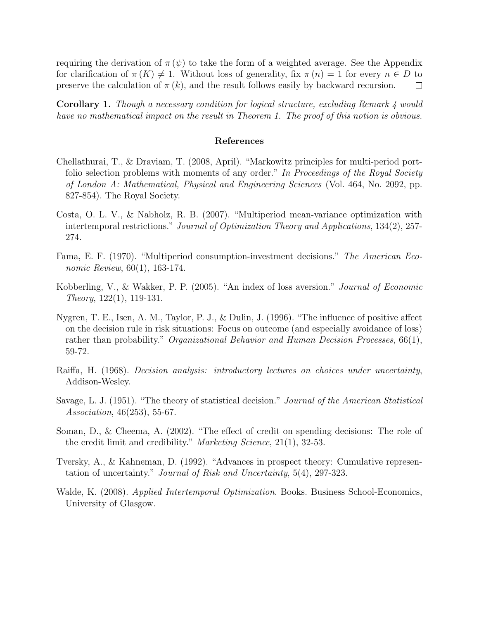requiring the derivation of  $\pi(\psi)$  to take the form of a weighted average. See the [Appendix](#page-4-10) for clarification of  $\pi(K) \neq 1$ . Without loss of generality, fix  $\pi(n) = 1$  for every  $n \in D$  to preserve the calculation of  $\pi(k)$ , and the result follows easily by backward recursion.  $\Box$ 

Corollary 1. *Though a necessary condition for logical structure, excluding [Remark 4](#page-2-2) would have no mathematical impact on the result in [Theorem 1.](#page-3-0) The proof of this notion is obvious.*

#### References

- <span id="page-4-7"></span>Chellathurai, T., & Draviam, T. (2008, April). "Markowitz principles for multi-period portfolio selection problems with moments of any order." *In Proceedings of the Royal Society of London A: Mathematical, Physical and Engineering Sciences* (Vol. 464, No. 2092, pp. 827-854). The Royal Society.
- <span id="page-4-6"></span>Costa, O. L. V., & Nabholz, R. B. (2007). "Multiperiod mean-variance optimization with intertemporal restrictions." *Journal of Optimization Theory and Applications*, 134(2), 257- 274.
- <span id="page-4-8"></span>Fama, E. F. (1970). "Multiperiod consumption-investment decisions." *The American Economic Review*, 60(1), 163-174.
- <span id="page-4-0"></span>Kobberling, V., & Wakker, P. P. (2005). "An index of loss aversion." *Journal of Economic Theory*, 122(1), 119-131.
- <span id="page-4-1"></span>Nygren, T. E., Isen, A. M., Taylor, P. J., & Dulin, J. (1996). "The influence of positive affect on the decision rule in risk situations: Focus on outcome (and especially avoidance of loss) rather than probability." *Organizational Behavior and Human Decision Processes*, 66(1), 59-72.
- <span id="page-4-3"></span>Raiffa, H. (1968). *Decision analysis: introductory lectures on choices under uncertainty*, Addison-Wesley.
- <span id="page-4-4"></span>Savage, L. J. (1951). "The theory of statistical decision." *Journal of the American Statistical Association*, 46(253), 55-67.
- <span id="page-4-9"></span>Soman, D., & Cheema, A. (2002). "The effect of credit on spending decisions: The role of the credit limit and credibility." *Marketing Science*, 21(1), 32-53.
- <span id="page-4-2"></span>Tversky, A., & Kahneman, D. (1992). "Advances in prospect theory: Cumulative representation of uncertainty." *Journal of Risk and Uncertainty*, 5(4), 297-323.
- <span id="page-4-10"></span><span id="page-4-5"></span>Walde, K. (2008). *Applied Intertemporal Optimization*. Books. Business School-Economics, University of Glasgow.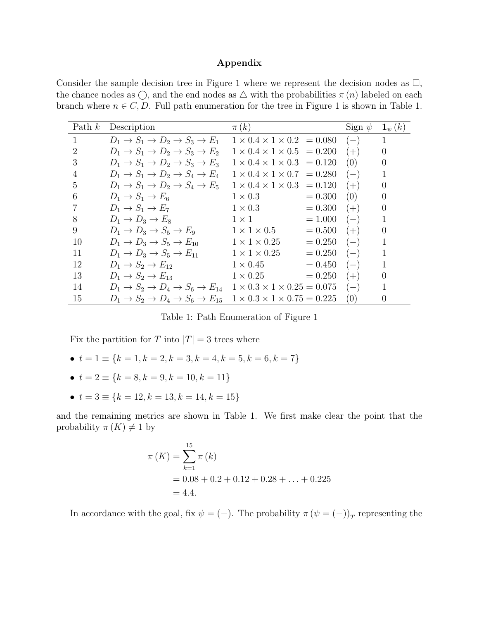### Appendix

Consider the sample decision tree in [Figure 1](#page-1-2) where we represent the decision nodes as  $\Box$ , the chance nodes as  $\bigcirc$ , and the end nodes as  $\bigtriangleup$  with the probabilities  $\pi(n)$  labeled on each branch where  $n \in C, D$ . Full path enumeration for the tree in [Figure 1](#page-1-2) is shown in [Table](#page-5-0) 1.

<span id="page-5-0"></span>

| Path $k$ | Description                                                              | $\pi(k)$                                    |           | Sign $\psi$ | $\mathbf{1}_{\psi}(k)$ |
|----------|--------------------------------------------------------------------------|---------------------------------------------|-----------|-------------|------------------------|
| 1        | $D_1 \rightarrow S_1 \rightarrow D_2 \rightarrow S_3 \rightarrow E_1$    | $1 \times 0.4 \times 1 \times 0.2 = 0.080$  |           | $(-,$       |                        |
| 2        | $D_1 \rightarrow S_1 \rightarrow D_2 \rightarrow S_3 \rightarrow E_2$    | $1 \times 0.4 \times 1 \times 0.5 = 0.200$  |           | $(+)$       | $\theta$               |
| 3        | $D_1 \rightarrow S_1 \rightarrow D_2 \rightarrow S_3 \rightarrow E_3$    | $1 \times 0.4 \times 1 \times 0.3 = 0.120$  |           | (0)         | $\theta$               |
| 4        | $D_1 \rightarrow S_1 \rightarrow D_2 \rightarrow S_4 \rightarrow E_4$    | $1 \times 0.4 \times 1 \times 0.7 = 0.280$  |           | $(-)$       |                        |
| 5        | $D_1 \rightarrow S_1 \rightarrow D_2 \rightarrow S_4 \rightarrow E_5$    | $1 \times 0.4 \times 1 \times 0.3 = 0.120$  |           | $(+)$       | $\theta$               |
| 6        | $D_1 \rightarrow S_1 \rightarrow E_6$                                    | $1 \times 0.3$                              | $= 0.300$ | (0)         | $\theta$               |
| 7        | $D_1 \rightarrow S_1 \rightarrow E_7$                                    | $1 \times 0.3$                              | $= 0.300$ | $(+)$       | $\theta$               |
| 8        | $D_1 \rightarrow D_3 \rightarrow E_8$                                    | $1 \times 1$                                | $=1.000$  | $(-)$       |                        |
| 9        | $D_1 \rightarrow D_3 \rightarrow S_5 \rightarrow E_9$                    | $1 \times 1 \times 0.5$                     | $= 0.500$ | $(+)$       | $\theta$               |
| 10       | $D_1 \rightarrow D_3 \rightarrow S_5 \rightarrow E_{10}$                 | $1 \times 1 \times 0.25$                    | $= 0.250$ | $(-)$       |                        |
| 11       | $D_1 \rightarrow D_3 \rightarrow S_5 \rightarrow E_{11}$                 | $1 \times 1 \times 0.25$                    | $= 0.250$ | $(-)$       | 1                      |
| 12       | $D_1 \rightarrow S_2 \rightarrow E_{12}$                                 | $1 \times 0.45$                             | $= 0.450$ | $(-)$       |                        |
| 13       | $D_1 \rightarrow S_2 \rightarrow E_{13}$                                 | $1 \times 0.25$                             | $= 0.250$ | $(+)$       | $\theta$               |
| 14       | $D_1 \rightarrow S_2 \rightarrow D_4 \rightarrow S_6 \rightarrow E_{14}$ | $1 \times 0.3 \times 1 \times 0.25 = 0.075$ |           | $(-)$       |                        |
| 15       | $D_1 \rightarrow S_2 \rightarrow D_4 \rightarrow S_6 \rightarrow E_{15}$ | $1 \times 0.3 \times 1 \times 0.75 = 0.225$ |           | (0)         | 0                      |

Table 1: Path Enumeration of [Figure 1](#page-1-2)

Fix the partition for T into  $|T| = 3$  trees where

- $t = 1 \equiv \{k = 1, k = 2, k = 3, k = 4, k = 5, k = 6, k = 7\}$
- $t = 2 \equiv \{k = 8, k = 9, k = 10, k = 11\}$
- $t = 3 \equiv \{k = 12, k = 13, k = 14, k = 15\}$

and the remaining metrics are shown in [Table 1.](#page-5-0) We first make clear the point that the probability  $\pi(K) \neq 1$  by

$$
\pi(K) = \sum_{k=1}^{15} \pi(k)
$$
  
= 0.08 + 0.2 + 0.12 + 0.28 + ... + 0.225  
= 4.4.

In accordance with the goal, fix  $\psi = (-)$ . The probability  $\pi (\psi = (-))_T$  representing the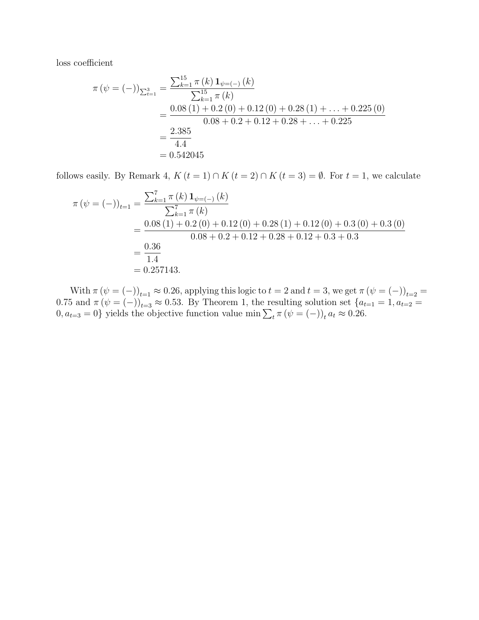loss coefficient

$$
\pi (\psi = (-))_{\sum_{t=1}^{3} = \frac{\sum_{k=1}^{15} \pi (k) \mathbf{1}_{\psi=(-)} (k)}{\sum_{k=1}^{15} \pi (k)}
$$
  
= 
$$
\frac{0.08 (1) + 0.2 (0) + 0.12 (0) + 0.28 (1) + \dots + 0.225 (0)}{0.08 + 0.2 + 0.12 + 0.28 + \dots + 0.225}
$$
  
= 
$$
\frac{2.385}{4.4}
$$
  
= 0.542045

follows easily. By [Remark 4,](#page-2-2)  $K(t = 1) \cap K(t = 2) \cap K(t = 3) = \emptyset$ . For  $t = 1$ , we calculate

$$
\pi (\psi = (-))_{t=1} = \frac{\sum_{k=1}^{7} \pi (k) \mathbf{1}_{\psi=(-)} (k)}{\sum_{k=1}^{7} \pi (k)}
$$
  
= 
$$
\frac{0.08 (1) + 0.2 (0) + 0.12 (0) + 0.28 (1) + 0.12 (0) + 0.3 (0) + 0.3 (0)}{0.08 + 0.2 + 0.12 + 0.28 + 0.12 + 0.3 + 0.3}
$$
  
= 
$$
\frac{0.36}{1.4}
$$
  
= 0.257143.

With  $\pi (\psi = (-))_{t=1} \approx 0.26$ , applying this logic to  $t = 2$  and  $t = 3$ , we get  $\pi (\psi = (-))_{t=2} =$ 0.75 and  $\pi (\psi = (-))_{t=3} \approx 0.53$ . By [Theorem 1,](#page-3-0) the resulting solution set  $\{a_{t=1} = 1, a_{t=2} = 1\}$  $0, a_{t=3} = 0$  yields the objective function value min  $\sum_{t} \pi (\psi = (-))_{t} a_{t} \approx 0.26$ .